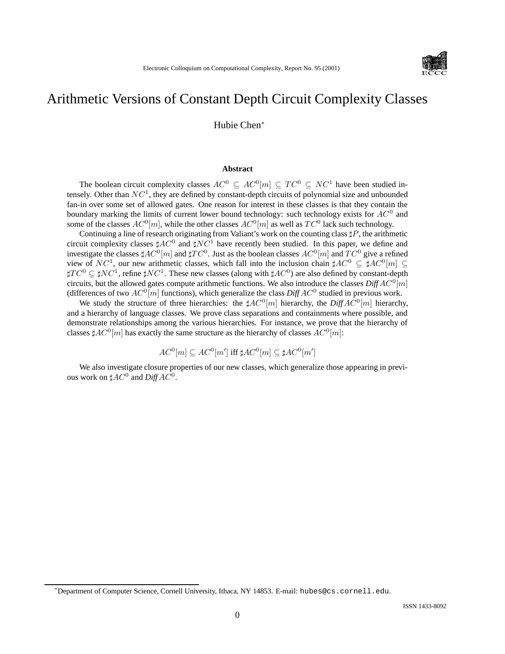

# Arithmetic Versions of Constant Depth Circuit Complexity Classes

Hubie Chen<sup>∗</sup>

#### **Abstract**

The boolean circuit complexity classes  $AC^0 \subseteq AC^0[m] \subseteq TC^0 \subseteq NC^1$  have been studied intensely. Other than  $NC<sup>1</sup>$ , they are defined by constant-depth circuits of polynomial size and unbounded fan-in over some set of allowed gates. One reason for interest in these classes is that they contain the boundary marking the limits of current lower bound technology: such technology exists for  $AC^0$  and some of the classes  $AC^0[m]$ , while the other classes  $AC^0[m]$  as well as  $TC^0$  lack such technology.

Continuing a line of research originating from Valiant's work on the counting class  $\sharp P$ , the arithmetic circuit complexity classes  $\sharp AC^0$  and  $\sharp NC^1$  have recently been studied. In this paper, we define and investigate the classes  $\sharp AC^0[m]$  and  $\sharp TC^0$ . Just as the boolean classes  $AC^0[m]$  and  $TC^0$  give a refined view of  $NC^1$ , our new arithmetic classes, which fall into the inclusion chain  $\sharp AC^0 \subseteq \sharp AC^0[m] \subseteq$  $\sharp TC^0 \subseteq \sharp NC^1$ , refine  $\sharp NC^1$ . These new classes (along with  $\sharp AC^0$ ) are also defined by constant-depth circuits, but the allowed gates compute arithmetic functions. We also introduce the classes  $\text{Diff}A\text{C}^0[m]$ (differences of two  $AC^0[m]$  functions), which generalize the class  $DiffAC^0$  studied in previous work.

We study the structure of three hierarchies: the  $\sharp AC^0[m]$  hierarchy, the *Diff* $AC^0[m]$  hierarchy, and a hierarchy of language classes. We prove class separations and containments where possible, and demonstrate relationships among the various hierarchies. For instance, we prove that the hierarchy of classes  $\sharp AC^0[m]$  has exactly the same structure as the hierarchy of classes  $AC^0[m]$ :

$$
AC^0[m] \subseteq AC^0[m'] \text{ iff } \sharp AC^0[m] \subseteq \sharp AC^0[m']
$$

We also investigate closure properties of our new classes, which generalize those appearing in previous work on  $\sharp AC^0$  and  $DiffAC^0$ .

<sup>∗</sup>Department of Computer Science, Cornell University, Ithaca, NY 14853. E-mail: hubes@cs.cornell.edu.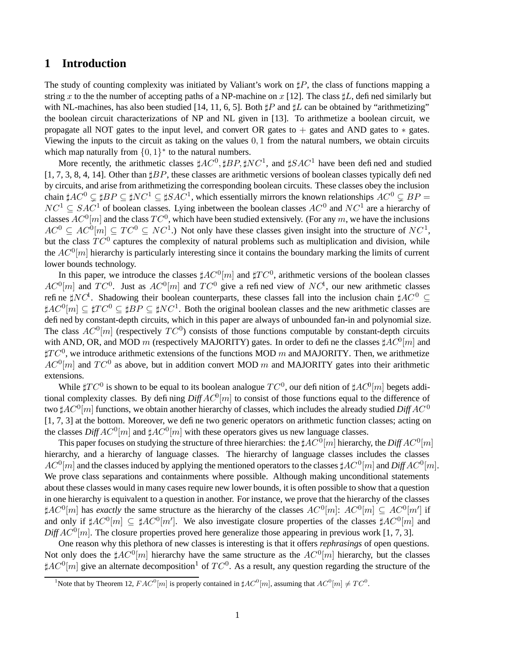# **1 Introduction**

The study of counting complexity was initiated by Valiant's work on  $\sharp P$ , the class of functions mapping a string x to the the number of accepting paths of a NP-machine on x [12]. The class  $\sharp L$ , defined similarly but with NL-machines, has also been studied [14, 11, 6, 5]. Both  $\sharp P$  and  $\sharp L$  can be obtained by "arithmetizing" the boolean circuit characterizations of NP and NL given in [13]. To arithmetize a boolean circuit, we propagate all NOT gates to the input level, and convert OR gates to + gates and AND gates to ∗ gates. Viewing the inputs to the circuit as taking on the values 0, 1 from the natural numbers, we obtain circuits which map naturally from  $\{0,1\}^*$  to the natural numbers.

More recently, the arithmetic classes  $\sharp AC^0, \sharp BP, \sharp NC^1$ , and  $\sharp SAC^1$  have been defined and studied  $[1, 7, 3, 8, 4, 14]$ . Other than  $\sharp BP$ , these classes are arithmetic versions of boolean classes typically defined by circuits, and arise from arithmetizing the corresponding boolean circuits. These classes obey the inclusion chain  $\sharp AC^0 \subsetneq \sharp BP \subseteq \sharp NC^1 \subseteq \sharp SAC^1$ , which essentially mirrors the known relationships  $AC^0 \subsetneq BP=$  $NC^1 \subseteq SAC^1$  of boolean classes. Lying inbetween the boolean classes  $AC^0$  and  $NC^1$  are a hierarchy of classes  $AC^0[m]$  and the class  $TC^0$ , which have been studied extensively. (For any m, we have the inclusions  $AC^0 \subseteq AC^0[m] \subseteq TC^0 \subseteq NC^1$ .) Not only have these classes given insight into the structure of  $NC^1$ , but the class  $TC^0$  captures the complexity of natural problems such as multiplication and division, while the  $AC^0[m]$  hierarchy is particularly interesting since it contains the boundary marking the limits of current lower bounds technology.

In this paper, we introduce the classes  $\sharp AC^0[m]$  and  $\sharp TC^0$ , arithmetic versions of the boolean classes  $AC^0[m]$  and  $TC^0$ . Just as  $AC^0[m]$  and  $TC^0$  give a refined view of  $NC^1$ , our new arithmetic classes refine  $\sharp NC^1$ . Shadowing their boolean counterparts, these classes fall into the inclusion chain  $\sharp AC^0 \subseteq$  $\sharp AC^0[m] \subseteq \sharp TC^0 \subseteq \sharp BP \subseteq \sharp NC^1$ . Both the original boolean classes and the new arithmetic classes are defined by constant-depth circuits, which in this paper are always of unbounded fan-in and polynomial size. The class  $AC^0[m]$  (respectively  $TC^0$ ) consists of those functions computable by constant-depth circuits with AND, OR, and MOD m (respectively MAJORITY) gates. In order to define the classes  $\sharp AC^0[m]$  and  $\sharp TC^0$ , we introduce arithmetic extensions of the functions MOD m and MAJORITY. Then, we arithmetize  $AC^0[m]$  and  $TC^0$  as above, but in addition convert MOD m and MAJORITY gates into their arithmetic extensions.

While  $\sharp TC^0$  is shown to be equal to its boolean analogue  $TC^0$ , our definition of  $\sharp AC^0[m]$  begets additional complexity classes. By defining  $DiffAC^0[m]$  to consist of those functions equal to the difference of two  $\sharp AC^0[m]$  functions, we obtain another hierarchy of classes, which includes the already studied  $DiffAC^0$ [1, 7, 3] at the bottom. Moreover, we define two generic operators on arithmetic function classes; acting on the classes  $DiffAC^0[m]$  and  $\sharp AC^0[m]$  with these operators gives us new language classes.

This paper focuses on studying the structure of three hierarchies: the  $\sharp AC^0[m]$  hierarchy, the  $\mathit{DiffAC}^0[m]$ hierarchy, and a hierarchy of language classes. The hierarchy of language classes includes the classes  $AC^0[m]$  and the classes induced by applying the mentioned operators to the classes  $\sharp AC^0[m]$  and  $DiffAC^0[m]$ . We prove class separations and containments where possible. Although making unconditional statements about these classes would in many cases require new lower bounds, it is often possible to show that a question in one hierarchy is equivalent to a question in another. For instance, we prove that the hierarchy of the classes  $\sharp AC^0[m]$  has *exactly* the same structure as the hierarchy of the classes  $AC^0[m]$ :  $AC^0[m] \subseteq AC^0[m']$  if and only if  $\sharp AC^0[m] \subseteq \sharp AC^0[m']$ . We also investigate closure properties of the classes  $\sharp AC^0[m]$  and  $DiffAC^0[m]$ . The closure properties proved here generalize those appearing in previous work [1, 7, 3].

One reason why this plethora of new classes is interesting is that it offers *rephrasings* of open questions. Not only does the  $\sharp AC^0[m]$  hierarchy have the same structure as the  $AC^0[m]$  hierarchy, but the classes  $\sharp AC^0[m]$  give an alternate decomposition<sup>1</sup> of  $TC^0$ . As a result, any question regarding the structure of the

<sup>&</sup>lt;sup>1</sup>Note that by Theorem 12,  $FAC^0[m]$  is properly contained in  $\sharp AC^0[m]$ , assuming that  $AC^0[m] \neq TC^0$ .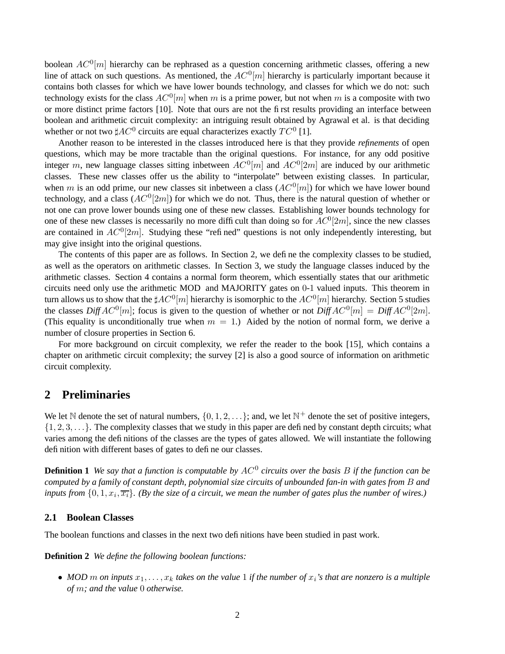boolean  $AC^0[m]$  hierarchy can be rephrased as a question concerning arithmetic classes, offering a new line of attack on such questions. As mentioned, the  $AC^0[m]$  hierarchy is particularly important because it contains both classes for which we have lower bounds technology, and classes for which we do not: such technology exists for the class  $AC^0[m]$  when m is a prime power, but not when m is a composite with two or more distinct prime factors [10]. Note that ours are not the first results providing an interface between boolean and arithmetic circuit complexity: an intriguing result obtained by Agrawal et al. is that deciding whether or not two  $\sharp AC^0$  circuits are equal characterizes exactly  $TC^0$  [1].

Another reason to be interested in the classes introduced here is that they provide *refinements* of open questions, which may be more tractable than the original questions. For instance, for any odd positive integer m, new language classes sitting inbetween  $AC^0[m]$  and  $AC^0[2m]$  are induced by our arithmetic classes. These new classes offer us the ability to "interpolate" between existing classes. In particular, when m is an odd prime, our new classes sit inbetween a class  $(AC^0[m])$  for which we have lower bound technology, and a class  $(AC^0[2m])$  for which we do not. Thus, there is the natural question of whether or not one can prove lower bounds using one of these new classes. Establishing lower bounds technology for one of these new classes is necessarily no more difficult than doing so for  $AC^0[2m]$ , since the new classes are contained in  $AC^0[2m]$ . Studying these "refined" questions is not only independently interesting, but may give insight into the original questions.

The contents of this paper are as follows. In Section 2, we define the complexity classes to be studied, as well as the operators on arithmetic classes. In Section 3, we study the language classes induced by the arithmetic classes. Section 4 contains a normal form theorem, which essentially states that our arithmetic circuits need only use the arithmetic MOD and MAJORITY gates on 0-1 valued inputs. This theorem in turn allows us to show that the  $\sharp AC^0[m]$  hierarchy is isomorphic to the  $AC^0[m]$  hierarchy. Section 5 studies the classes  $DiffAC^0[m]$ ; focus is given to the question of whether or not  $DiffAC^0[m] = DiffAC^0[2m]$ . (This equality is unconditionally true when  $m = 1$ .) Aided by the notion of normal form, we derive a number of closure properties in Section 6.

For more background on circuit complexity, we refer the reader to the book [15], which contains a chapter on arithmetic circuit complexity; the survey [2] is also a good source of information on arithmetic circuit complexity.

# **2 Preliminaries**

We let N denote the set of natural numbers,  $\{0, 1, 2, \ldots\}$ ; and, we let  $\mathbb{N}^+$  denote the set of positive integers,  $\{1, 2, 3, \ldots\}$ . The complexity classes that we study in this paper are defined by constant depth circuits; what varies among the definitions of the classes are the types of gates allowed. We will instantiate the following definition with different bases of gates to define our classes.

**Definition 1** We say that a function is computable by AC<sup>0</sup> circuits over the basis B if the function can be computed by a family of constant depth, polynomial size circuits of unbounded fan-in with gates from B and inputs from  $\{0,1,x_i,\overline{x_i}\}$ . (By the size of a circuit, we mean the number of gates plus the number of wires.)

#### **2.1 Boolean Classes**

The boolean functions and classes in the next two definitions have been studied in past work.

**Definition 2** *We define the following boolean functions:*

• MOD m on inputs  $x_1, \ldots, x_k$  takes on the value 1 if the number of  $x_i$ 's that are nonzero is a multiple *of* m*; and the value* 0 *otherwise.*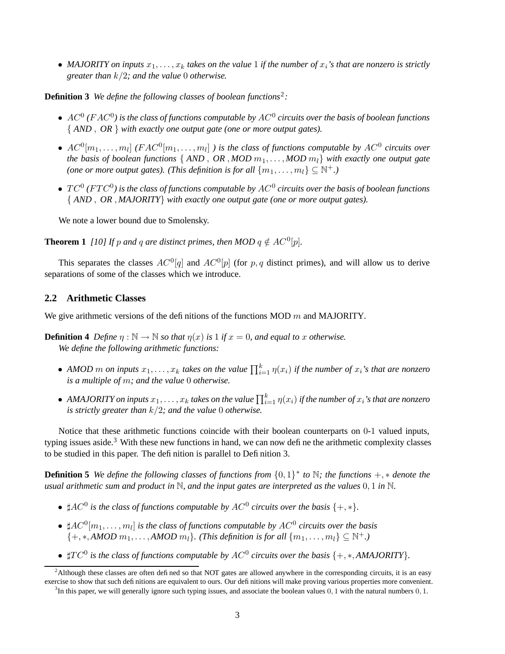• MAJORITY on inputs  $x_1, \ldots, x_k$  takes on the value 1 if the number of  $x_i$ 's that are nonzero is strictly *greater than* k/2*; and the value* 0 *otherwise.*

**Definition 3** *We define the following classes of boolean functions*<sup>2</sup> *:*

- AC<sup>0</sup> *(*FAC<sup>0</sup> *) is the class of functions computable by* AC<sup>0</sup> *circuits over the basis of boolean functions* { *AND* , *OR* } *with exactly one output gate (one or more output gates).*
- $AC^0[m_1, \ldots, m_l]$   $(FAC^0[m_1, \ldots, m_l])$  *is the class of functions computable by AC*<sup>0</sup> *circuits over the basis of boolean functions* {  $AND$  ,  $OR$  ,  $MOD$   $m_1, \ldots, MOD$   $m_l$ } *with exactly one output gate (one or more output gates). (This definition is for all*  $\{m_1, \ldots, m_l\} \subseteq \mathbb{N}^+$ .)
- T C 0 *(*FT C 0 *) is the class of functions computable by* AC<sup>0</sup> *circuits over the basis of boolean functions* { *AND* , *OR* , *MAJORITY*} *with exactly one output gate (one or more output gates).*

We note a lower bound due to Smolensky.

**Theorem 1** *[10] If*  $p$  *and*  $q$  *are distinct primes, then*  $MOD$   $q \notin AC$ <sup>0</sup> $[p]$ *.* 

This separates the classes  $AC^0[q]$  and  $AC^0[p]$  (for p, q distinct primes), and will allow us to derive separations of some of the classes which we introduce.

#### **2.2 Arithmetic Classes**

We give arithmetic versions of the definitions of the functions MOD  $m$  and MAJORITY.

**Definition 4** Define  $\eta : \mathbb{N} \to \mathbb{N}$  so that  $\eta(x)$  is 1 if  $x = 0$ , and equal to x otherwise. *We define the following arithmetic functions:*

- *AMOD m on inputs*  $x_1, \ldots, x_k$  *takes on the value*  $\prod_{i=1}^k \eta(x_i)$  *if the number of*  $x_i$ 's *that are nonzero is a multiple of* m*; and the value* 0 *otherwise.*
- AMAJORITY on inputs  $x_1, \ldots, x_k$  takes on the value  $\prod_{i=1}^k \eta(x_i)$  if the number of  $x_i$ 's that are nonzero *is strictly greater than* k/2*; and the value* 0 *otherwise.*

Notice that these arithmetic functions coincide with their boolean counterparts on 0-1 valued inputs, typing issues aside.<sup>3</sup> With these new functions in hand, we can now define the arithmetic complexity classes to be studied in this paper. The definition is parallel to Definition 3.

**Definition 5** We define the following classes of functions from  $\{0,1\}^*$  to  $\mathbb{N}$ ; the functions  $+$ ,  $*$  denote the usual arithmetic sum and product in  $\mathbb N$ , and the input gates are interpreted as the values  $0, 1$  in  $\mathbb N$ .

- $\sharp AC^0$  *is the class of functions computable by*  $AC^0$  *circuits over the basis*  $\{+,*\}.$
- $\sharp AC^0[m_1, \ldots, m_l]$  is the class of functions computable by  $AC^0$  circuits over the basis  $\{+, *, \text{AMOD } m_1, \ldots, \text{AMOD } m_l\}$ . (This definition is for all  $\{m_1, \ldots, m_l\} \subseteq \mathbb{N}^+$ .)
- $\sharp TC^0$  is the class of functions computable by  $AC^0$  circuits over the basis  $\{+, *, AMAJORITY\}$ .

 $2$ Although these classes are often defined so that NOT gates are allowed anywhere in the corresponding circuits, it is an easy exercise to show that such definitions are equivalent to ours. Our definitions will make proving various properties more convenient.

 $3$ In this paper, we will generally ignore such typing issues, and associate the boolean values  $0, 1$  with the natural numbers  $0, 1$ .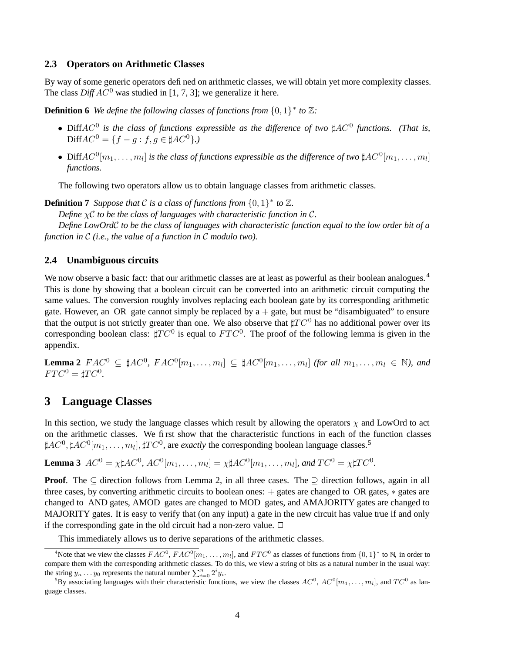#### **2.3 Operators on Arithmetic Classes**

By way of some generic operators defined on arithmetic classes, we will obtain yet more complexity classes. The class  $DiffAC^0$  was studied in [1, 7, 3]; we generalize it here.

**Definition 6** We define the following classes of functions from  $\{0,1\}^*$  to  $\mathbb{Z}$ :

- Diff $AC^0$  *is the class of functions expressible as the difference of two*  $\sharp AC^0$  *functions. (That is,*  $DiffAC^0 = \{f - g : f, g \in \sharp AC^0\}$ .)
- Diff $AC^0[m_1,\ldots,m_l]$  is the class of functions expressible as the difference of two  $\sharp AC^0[m_1,\ldots,m_l]$ *functions.*

The following two operators allow us to obtain language classes from arithmetic classes.

**Definition 7** Suppose that C is a class of functions from  $\{0,1\}^*$  to  $\mathbb{Z}$ .

*Define* χC *to be the class of languages with characteristic function in* C*.*

Define LowOrdC to be the class of languages with characteristic function equal to the low order bit of a *function in* C *(i.e., the value of a function in* C *modulo two).*

#### **2.4 Unambiguous circuits**

We now observe a basic fact: that our arithmetic classes are at least as powerful as their boolean analogues.<sup>4</sup> This is done by showing that a boolean circuit can be converted into an arithmetic circuit computing the same values. The conversion roughly involves replacing each boolean gate by its corresponding arithmetic gate. However, an OR gate cannot simply be replaced by  $a + gate$ , but must be "disambiguated" to ensure that the output is not strictly greater than one. We also observe that  $\sharp TC^0$  has no additional power over its corresponding boolean class:  $\sharp TC^0$  is equal to  $FTC^0$ . The proof of the following lemma is given in the appendix.

**Lemma 2**  $FAC^0 \subseteq \sharp AC^0$ ,  $FAC^0[m_1, \ldots, m_l] \subseteq \sharp AC^0[m_1, \ldots, m_l]$  (for all  $m_1, \ldots, m_l \in \mathbb{N}$ ), and  $FTC^0 = \sharp TC^0.$ 

# **3 Language Classes**

In this section, we study the language classes which result by allowing the operators  $\chi$  and LowOrd to act on the arithmetic classes. We first show that the characteristic functions in each of the function classes  $\sharp AC^0, \sharp AC^0[m_1, \ldots, m_l], \sharp TC^0,$  are *exactly* the corresponding boolean language classes.<sup>5</sup>

**Lemma 3**  $AC^0 = \chi \sharp AC^0$ ,  $AC^0[m_1, \ldots, m_l] = \chi \sharp AC^0[m_1, \ldots, m_l]$ , and  $TC^0 = \chi \sharp TC^0$ .

**Proof.** The ⊂ direction follows from Lemma 2, in all three cases. The ⊃ direction follows, again in all three cases, by converting arithmetic circuits to boolean ones: + gates are changed to OR gates, ∗ gates are changed to AND gates, AMOD gates are changed to MOD gates, and AMAJORITY gates are changed to MAJORITY gates. It is easy to verify that (on any input) a gate in the new circuit has value true if and only if the corresponding gate in the old circuit had a non-zero value.  $\Box$ 

This immediately allows us to derive separations of the arithmetic classes.

<sup>&</sup>lt;sup>4</sup>Note that we view the classes  $FAC^0$ ,  $FAC^0[m_1, \ldots, m_l]$ , and  $FTC^0$  as classes of functions from  $\{0, 1\}^*$  to N, in order to compare them with the corresponding arithmetic classes. To do this, we view a string of bits as a natural number in the usual way: the string  $y_n \dots y_0$  represents the natural number  $\sum_{i=0}^n 2^i y_i$ .

<sup>&</sup>lt;sup>5</sup>By associating languages with their characteristic functions, we view the classes  $AC^0$ ,  $AC^0[m_1, \ldots, m_l]$ , and  $TC^0$  as language classes.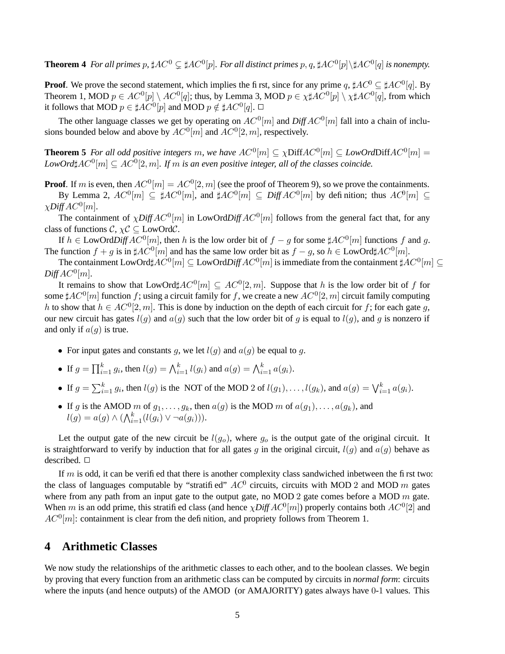**Theorem 4** For all primes p,  $\sharp AC^0 \subsetneq \sharp AC^0[p]$ . For all distinct primes p, q,  $\sharp AC^0[p] \setminus \sharp AC^0[q]$  is nonempty.

**Proof**. We prove the second statement, which implies the first, since for any prime q,  $\sharp AC^0 \subseteq \sharp AC^0[q]$ . By Theorem 1, MOD  $p \in AC^0[p] \setminus AC^0[q]$ ; thus, by Lemma 3, MOD  $p \in \chi \sharp AC^0[p] \setminus \chi \sharp AC^0[q]$ , from which it follows that MOD  $p\in \sharp AC^0[p]$  and MOD  $p\notin \sharp AC^0[q]$ .  $\Box$ 

The other language classes we get by operating on  $AC^0[m]$  and  $DiffAC^0[m]$  fall into a chain of inclusions bounded below and above by  $AC^0[m]$  and  $AC^0[2, m]$ , respectively.

**Theorem 5** For all odd positive integers m, we have  $AC^0[m] \subseteq \chi \text{Diff}AC^0[m] \subseteq LowOrd\text{Diff}AC^0[m] =$  $LowOrd \sharp AC^0[m] \subseteq AC^0[2,m]$ . If m is an even positive integer, all of the classes coincide.

**Proof**. If m is even, then  $AC^0[m] = AC^0[2, m]$  (see the proof of Theorem 9), so we prove the containments.

By Lemma 2,  $AC^0[m] \subseteq \sharp AC^0[m]$ , and  $\sharp AC^0[m] \subseteq DiffAC^0[m]$  by definition; thus  $AC^0[m] \subseteq$  $\chi$ *Diff*  $AC^0[m]$ .

The containment of  $\chi$ *Diff*  $AC^0[m]$  in LowOrd*Diff*  $AC^0[m]$  follows from the general fact that, for any class of functions  $\mathcal{C}, \chi \mathcal{C} \subseteq \text{LowOrd}\mathcal{C}.$ 

If  $h \in \text{LowOrd}$ *Diff*  $AC^0[m]$ , then h is the low order bit of  $f - g$  for some  $\sharp AC^0[m]$  functions f and g. The function  $f + g$  is in  $\sharp AC^0[m]$  and has the same low order bit as  $f - g$ , so  $h \in \text{LowOrd}\sharp AC^0[m]$ .

The containment  ${\rm LowOrd}\sharp AC^0[m]\subseteq {\rm LowOrd}$   $DiffAC^0[m]$  is immediate from the containment  $\sharp AC^0[m]\subseteq$  $DiffAC<sup>0</sup>[m]$ .

It remains to show that LowOrd $\sharp AC^0[m] \subseteq AC^0[2,m]$ . Suppose that h is the low order bit of f for some  $\sharp AC^0[m]$  function  $f$ ; using a circuit family for  $f$ , we create a new  $AC^0[2,m]$  circuit family computing h to show that  $h \in AC^0[2, m]$ . This is done by induction on the depth of each circuit for f; for each gate g, our new circuit has gates  $l(q)$  and  $a(q)$  such that the low order bit of q is equal to  $l(q)$ , and q is nonzero if and only if  $a(g)$  is true.

- For input gates and constants g, we let  $l(g)$  and  $a(g)$  be equal to g.
- If  $g = \prod_{i=1}^{k} g_i$ , then  $l(g) = \bigwedge_{i=1}^{k} l(g_i)$  and  $a(g) = \bigwedge_{i=1}^{k} a(g_i)$ .
- If  $g = \sum_{i=1}^k g_i$ , then  $l(g)$  is the NOT of the MOD 2 of  $l(g_1), \ldots, l(g_k)$ , and  $a(g) = \bigvee_{i=1}^k a(g_i)$ .
- If g is the AMOD m of  $g_1, \ldots, g_k$ , then  $a(g)$  is the MOD m of  $a(g_1), \ldots, a(g_k)$ , and  $l(g) = a(g) \wedge (\bigwedge_{i=1}^{k} (l(g_i) \vee \neg a(g_i))).$

Let the output gate of the new circuit be  $l(g_o)$ , where  $g_o$  is the output gate of the original circuit. It is straightforward to verify by induction that for all gates g in the original circuit,  $l(g)$  and  $a(g)$  behave as described. □

If m is odd, it can be verified that there is another complexity class sandwiched inbetween the first two: the class of languages computable by "stratified"  $AC^0$  circuits, circuits with MOD 2 and MOD m gates where from any path from an input gate to the output gate, no MOD 2 gate comes before a MOD  $m$  gate. When m is an odd prime, this stratified class (and hence  $\chi$ *Diff*  $AC^0[m]$ ) properly contains both  $AC^0[2]$  and  $AC^0[m]$ : containment is clear from the definition, and propriety follows from Theorem 1.

# **4 Arithmetic Classes**

We now study the relationships of the arithmetic classes to each other, and to the boolean classes. We begin by proving that every function from an arithmetic class can be computed by circuits in *normal form*: circuits where the inputs (and hence outputs) of the AMOD (or AMAJORITY) gates always have 0-1 values. This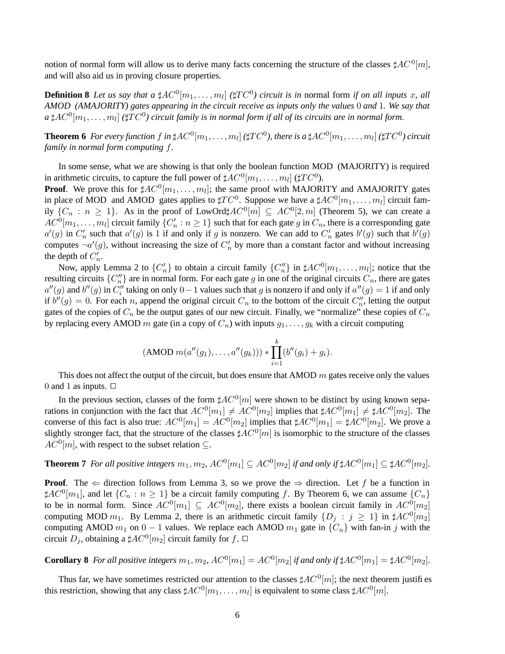notion of normal form will allow us to derive many facts concerning the structure of the classes  $\sharp AC^0[m]$ , and will also aid us in proving closure properties.

**Definition 8** Let us say that a  $\sharp AC^0[m_1,\ldots,m_l]$  ( $\sharp TC^0$ ) circuit is in normal form if on all inputs x, all AMOD (AMAJORITY) gates appearing in the circuit receive as inputs only the values 0 and 1. We say that a  $\sharp AC^0[m_1,\ldots,m_l]$  ( $\sharp TC^0$ ) circuit family is in normal form if all of its circuits are in normal form.

**Theorem 6** For every function  $f$  in  $\sharp AC^0[m_1,\ldots,m_l]$  ( $\sharp TC^0$ ), there is a  $\sharp AC^0[m_1,\ldots,m_l]$  ( $\sharp TC^0$ ) circuit *family in normal form computing* f*.*

In some sense, what we are showing is that only the boolean function MOD (MAJORITY) is required in arithmetic circuits, to capture the full power of  $\sharp AC^0[m_1, \ldots, m_l]$  ( $\sharp TC^0$ ).

**Proof.** We prove this for  $\sharp AC^0[m_1, \ldots, m_l]$ ; the same proof with MAJORITY and AMAJORITY gates in place of MOD and AMOD gates applies to  $\sharp TC^0$ . Suppose we have a  $\sharp AC^0[m_1, \ldots, m_l]$  circuit family  $\{C_n : n \geq 1\}$ . As in the proof of LowOrd# $AC^0[m] \subseteq AC^0[2,m]$  (Theorem 5), we can create a  $AC^0[m_1,\ldots,m_l]$  circuit family  $\{C'_n:n\geq 1\}$  such that for each gate g in  $C_n$ , there is a corresponding gate  $a'(g)$  in  $C'_n$  such that  $a'(g)$  is 1 if and only if g is nonzero. We can add to  $C'_n$  gates  $b'(g)$  such that  $b'(g)$ computes  $\neg a'(g)$ , without increasing the size of  $C'_n$  by more than a constant factor and without increasing the depth of  $C'_n$ .

Now, apply Lemma 2 to  $\{C'_n\}$  to obtain a circuit family  $\{C''_n\}$  in  $\sharp AC^0[m_1,\ldots,m_l]$ ; notice that the resulting circuits  $\{C''_n\}$  are in normal form. For each gate g in one of the original circuits  $C_n$ , there are gates  $a''(g)$  and  $b''(g)$  in  $C_i''$  taking on only  $0-1$  values such that g is nonzero if and only if  $a''(g) = 1$  if and only if  $b''(g) = 0$ . For each n, append the original circuit  $C_n$  to the bottom of the circuit  $C_n''$ , letting the output gates of the copies of  $C_n$  be the output gates of our new circuit. Finally, we "normalize" these copies of  $C_n$ by replacing every AMOD m gate (in a copy of  $C_n$ ) with inputs  $g_1, \ldots, g_k$  with a circuit computing

$$
(AMOD m(a''(g_1),...,a''(g_k))) * \prod_{i=1}^k (b''(g_i) + g_i).
$$

This does not affect the output of the circuit, but does ensure that AMOD  $m$  gates receive only the values 0 and 1 as inputs.  $\Box$ 

In the previous section, classes of the form  $\sharp AC^0[m]$  were shown to be distinct by using known separations in conjunction with the fact that  $AC^0[m_1] \ne AC^0[m_2]$  implies that  $\sharp AC^0[m_1] \ne \sharp AC^0[m_2]$ . The converse of this fact is also true:  $AC^0[m_1] = AC^0[m_2]$  implies that  $\sharp AC^0[m_1] = \sharp AC^0[m_2]$ . We prove a slightly stronger fact, that the structure of the classes  $\sharp AC^0[m]$  is isomorphic to the structure of the classes  $AC^0[m]$ , with respect to the subset relation  $\subseteq$ .

**Theorem 7** For all positive integers  $m_1, m_2$ ,  $AC^0[m_1] \subseteq AC^0[m_2]$  if and only if  $\sharp AC^0[m_1] \subseteq \sharp AC^0[m_2]$ .

**Proof.** The  $\Leftarrow$  direction follows from Lemma 3, so we prove the  $\Rightarrow$  direction. Let f be a function in  $\sharp AC^0[m_1]$ , and let  $\{C_n : n \geq 1\}$  be a circuit family computing f. By Theorem 6, we can assume  $\{C_n\}$ to be in normal form. Since  $AC^0[m_1] \subseteq AC^0[m_2]$ , there exists a boolean circuit family in  $AC^0[m_2]$ computing MOD  $m_1$ . By Lemma 2, there is an arithmetic circuit family  $\{D_j : j \geq 1\}$  in  $\sharp AC^0[m_2]$ computing AMOD  $m_1$  on  $0 - 1$  values. We replace each AMOD  $m_1$  gate in  $\{C_n\}$  with fan-in j with the circuit  $D_j$ , obtaining a  $\sharp AC^0[m_2]$  circuit family for f.  $\Box$ 

**Corollary 8** For all positive integers  $m_1, m_2$ ,  $AC^0[m_1] = AC^0[m_2]$  if and only if  $\sharp AC^0[m_1] = \sharp AC^0[m_2]$ .

Thus far, we have sometimes restricted our attention to the classes  $\sharp AC^0[m]$ ; the next theorem justifies this restriction, showing that any class  $\sharp AC^0[m_1, \ldots, m_l]$  is equivalent to some class  $\sharp AC^0[m]$ .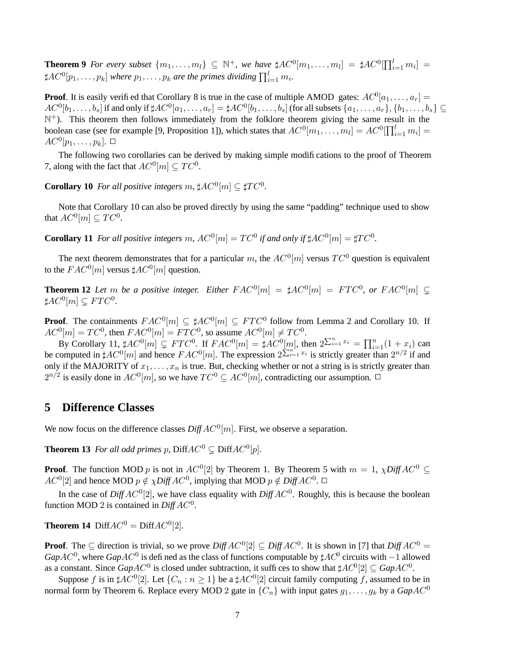**Theorem 9** For every subset  $\{m_1, \ldots, m_l\} \subseteq \mathbb{N}^+$ , we have  $\sharp AC^0[m_1, \ldots, m_l] = \sharp AC^0[\prod_{i=1}^l m_i] =$  $\sharp AC^0[p_1,\ldots,p_k]$  where  $p_1,\ldots,p_k$  are the primes dividing  $\prod_{i=1}^l m_i$ .

**Proof**. It is easily verified that Corollary 8 is true in the case of multiple AMOD gates:  $AC^0[a_1, \ldots, a_r] =$  $AC^0[b_1,\ldots,b_s]$  if and only if  $\sharp AC^0[a_1,\ldots,a_r]=\sharp AC^0[b_1,\ldots,b_s]$  (for all subsets  $\{a_1,\ldots,a_r\},\{b_1,\ldots,b_s\}\subseteq$  $\mathbb{N}^+$ ). This theorem then follows immediately from the folklore theorem giving the same result in the boolean case (see for example [9, Proposition 1]), which states that  $AC^0[m_1, \ldots, m_l] = AC^0[\prod_{i=1}^l m_i] =$  $AC^0[p_1,\ldots,p_k].$   $\Box$ 

The following two corollaries can be derived by making simple modifications to the proof of Theorem 7, along with the fact that  $AC^0[m] \subseteq TC^0$ .

**Corollary 10** *For all positive integers*  $m$ ,  $\sharp AC^0[m] \subseteq \sharp TC^0$ .

Note that Corollary 10 can also be proved directly by using the same "padding" technique used to show that  $AC^0[m] \subseteq TC^0$ .

**Corollary** 11 *For all positive integers*  $m$ ,  $AC^0[m] = TC^0$  *if and only if*  $\sharp AC^0[m] = \sharp TC^0$ .

The next theorem demonstrates that for a particular m, the  $AC^0[m]$  versus  $TC^0$  question is equivalent to the  $FAC^0[m]$  versus  $\sharp AC^0[m]$  question.

**Theorem 12** Let m be a positive integer. Either  $FAC^0[m] = \sharp AC^0[m] = FTC^0$ , or  $FAC^0[m] \subsetneq$  $\sharp AC^0[m] \subsetneq FTC^0.$ 

**Proof.** The containments  $FAC^0[m] \subseteq #AC^0[m] \subseteq FTC^0$  follow from Lemma 2 and Corollary 10. If  $AC^0[m] = TC^0$ , then  $FAC^0[m] = FTC^0$ , so assume  $AC^0[m] \neq TC^0$ .

By Corollary 11,  $\sharp AC^0[m] \subsetneq FTC^0$ . If  $FAC^0[m] = \sharp AC^0[m]$ , then  $2\sum_{i=1}^n x_i = \prod_{i=1}^n (1 + x_i)$  can be computed in  $\sharp AC^0[m]$  and hence  $FAC^0[m]$ . The expression  $2^{\sum_{i=1}^{n} x_i}$  is strictly greater than  $2^{n/2}$  if and only if the MAJORITY of  $x_1, \ldots, x_n$  is true. But, checking whether or not a string is is strictly greater than  $2^{n/2}$  is easily done in  $AC^0[m]$ , so we have  $TC^0 \subseteq AC^0[m]$ , contradicting our assumption.  $\Box$ 

# **5 Difference Classes**

We now focus on the difference classes  $\text{Diff} \, AC^0[m]$ . First, we observe a separation.

**Theorem 13** For all odd primes p,  $\text{Diff}AC^0 \subsetneq \text{Diff}AC^0[p]$ .

**Proof.** The function MOD p is not in  $AC^0[2]$  by Theorem 1. By Theorem 5 with  $m = 1$ ,  $\chi$ Diff  $AC^0 \subseteq$  $AC^0[2]$  and hence MOD  $p \notin \chi \text{Diff} \text{AC}^0$ , implying that MOD  $p \notin \text{Diff} \text{AC}^0$ .

In the case of  $DiffAC^0[2]$ , we have class equality with  $DiffAC^0$ . Roughly, this is because the boolean function MOD 2 is contained in  $\text{Diff} A\text{C}^0$ .

**Theorem 14** Diff $AC^0 = \text{Diff}AC^0[2]$ *.* 

**Proof**. The  $\subseteq$  direction is trivial, so we prove  $DiffAC^0[2] \subseteq DiffAC^0$ . It is shown in [7] that  $DiffAC^0 =$  $GapAC^0$ , where  $GapAC^0$  is defined as the class of functions computable by  $\sharp AC^0$  circuits with  $-1$  allowed as a constant. Since  $GapAC^0$  is closed under subtraction, it suffices to show that  $\sharp AC^0[2] \subseteq GapAC^0$ .

Suppose f is in  $\sharp AC^0[2]$ . Let  $\{C_n : n \geq 1\}$  be a  $\sharp AC^0[2]$  circuit family computing f, assumed to be in normal form by Theorem 6. Replace every MOD 2 gate in  $\{C_n\}$  with input gates  $g_1, \ldots, g_k$  by a  $GapAC^0$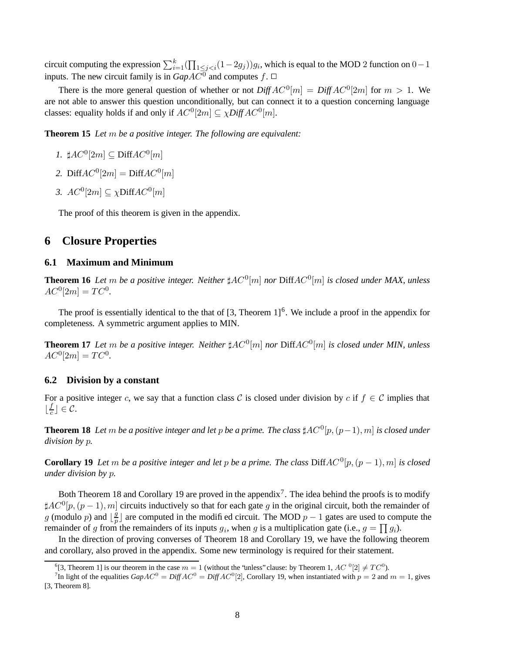circuit computing the expression  $\sum_{i=1}^{k}(\prod_{1\leq j, which is equal to the MOD 2 function on  $0-1$$ inputs. The new circuit family is in  $GapAC^0$  and computes f.  $\Box$ 

There is the more general question of whether or not  $DiffAC^0[m] = DiffAC^0[2m]$  for  $m > 1$ . We are not able to answer this question unconditionally, but can connect it to a question concerning language classes: equality holds if and only if  $AC^0[2m] \subseteq \chi \text{Diff } AC^0[m]$ .

**Theorem 15** *Let* m *be a positive integer. The following are equivalent:*

- *1.*  $\sharp AC^0[2m] \subseteq \text{Diff}AC^0[m]$
- 2. Diff $AC^0[2m] = \text{Diff}AC^0[m]$
- *3.*  $AC^0[2m] \subseteq \chi \text{Diff}AC^0[m]$

The proof of this theorem is given in the appendix.

# **6 Closure Properties**

#### **6.1 Maximum and Minimum**

**Theorem 16** Let  $m$  be a positive integer. Neither  $\sharp AC^0[m]$  nor  $\text{Diff}AC^0[m]$  is closed under MAX, unless  $AC^0[2m] = TC^0.$ 

The proof is essentially identical to the that of  $[3,$  Theorem  $1]^{6}$ . We include a proof in the appendix for completeness. A symmetric argument applies to MIN.

**Theorem 17** Let m be a positive integer. Neither  $\sharp AC^0[m]$  nor  $\text{Diff}AC^0[m]$  is closed under MIN, unless  $AC^0[2m] = TC^0.$ 

#### **6.2 Division by a constant**

For a positive integer c, we say that a function class C is closed under division by c if  $f \in \mathcal{C}$  implies that  $\lfloor \frac{f}{c} \rfloor$  $\frac{J}{c}$   $\rfloor \in \mathcal{C}$ .

**Theorem 18** Let  $m$  be a positive integer and let  $p$  be a prime. The class  $\sharp AC^0[p,(p-1),m]$  is closed under *division by* p*.*

**Corollary 19** Let m be a positive integer and let p be a prime. The class  $\text{DiffAC}^0[p,(p-1),m]$  is closed *under division by* p*.*

Both Theorem 18 and Corollary 19 are proved in the appendix<sup>7</sup>. The idea behind the proofs is to modify  $\sharp AC^0[p,(p-1),m]$  circuits inductively so that for each gate g in the original circuit, both the remainder of g (modulo p) and  $\frac{g}{p}$  $\frac{g}{p}$  are computed in the modified circuit. The MOD  $p-1$  gates are used to compute the remainder of g from the remainders of its inputs  $g_i$ , when g is a multiplication gate (i.e.,  $g = \prod g_i$ ).

In the direction of proving converses of Theorem 18 and Corollary 19, we have the following theorem and corollary, also proved in the appendix. Some new terminology is required for their statement.

<sup>&</sup>lt;sup>6</sup>[3, Theorem 1] is our theorem in the case  $m = 1$  (without the 'unless' clause: by Theorem 1,  $AC$  <sup>0</sup>[2]  $\neq TC^0$ ).

<sup>&</sup>lt;sup>7</sup>In light of the equalities  $GapAC^0 = DiffAC^0 = DiffAC^0[2]$ , Corollary 19, when instantiated with  $p = 2$  and  $m = 1$ , gives [3, Theorem 8].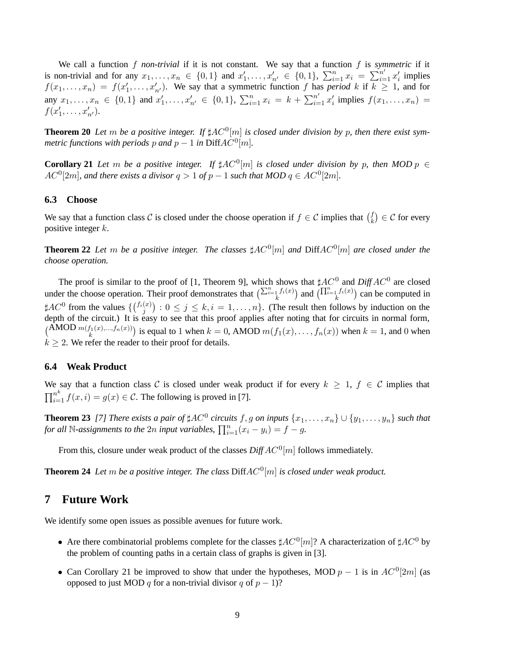We call a function  $f$  *non-trivial* if it is not constant. We say that a function  $f$  is *symmetric* if it is non-trivial and for any  $x_1, ..., x_n \in \{0, 1\}$  and  $x'_1, ..., x'_{n'} \in \{0, 1\}$ ,  $\sum_{i=1}^n x_i = \sum_{i=1}^{n'} x'_i$  implies  $f(x_1,...,x_n) = f(x'_1,...,x'_{n'})$ . We say that a symmetric function f has *period* k if  $k \ge 1$ , and for any  $x_1, \ldots, x_n \in \{0,1\}$  and  $x'_1, \ldots, x'_{n'} \in \{0,1\}$ ,  $\sum_{i=1}^n x_i = k + \sum_{i=1}^{n'} x'_i$  implies  $f(x_1, \ldots, x_n) =$  $f(x'_1, \ldots, x'_{n'}).$ 

**Theorem 20** Let m be a positive integer. If  $\sharp AC^0[m]$  is closed under division by p, then there exist sym*metric functions with periods p and p*  $-1$  *in DiffAC<sup>0</sup>[m]*.

**Corollary 21** Let m be a positive integer. If  $\sharp AC^0[m]$  is closed under division by p, then MOD  $p \in$  $AC^0[2m]$ , and there exists a divisor  $q > 1$  of  $p - 1$  such that  $MOD|q \in AC^0[2m]$ .

#### **6.3 Choose**

We say that a function class C is closed under the choose operation if  $f \in \mathcal{C}$  implies that  $\binom{f}{k}$  $\binom{f}{k} \in \mathcal{C}$  for every positive integer k.

**Theorem 22** Let m be a positive integer. The classes  $\sharp AC^0[m]$  and  $\text{DiffAC}^0[m]$  are closed under the *choose operation.*

The proof is similar to the proof of [1, Theorem 9], which shows that  $\sharp AC^0$  and  $DiffAC^0$  are closed under the choose operation. Their proof demonstrates that  $\left(\sum_{i=1}^n f_i(x)\right)$  and  $\left(\prod_{i=1}^n f_i(x)\right)$  can be computed in  $\sharp AC^0$  from the values  $\{(\begin{matrix} f_i(x) \\ j \end{matrix}) : 0 \le j \le k, i = 1, \ldots, n\}$ . (The result then follows by induction on the depth of the circuit.) It is easy to see that this proof applies after noting that for circuits in normal form,  $\binom{\text{AMOD} \, m(f_1(x),...,f_n(x))}{k}$  is equal to 1 when  $k = 0$ , AMOD  $m(f_1(x),...,f_n(x))$  when  $k = 1$ , and 0 when  $k \geq 2$ . We refer the reader to their proof for details.

#### **6.4 Weak Product**

We say that a function class C is closed under weak product if for every  $k \ge 1$ ,  $f \in C$  implies that  $\prod_{i=1}^{n^k} f(x,i) = g(x) \in \mathcal{C}$ . The following is proved in [7].

**Theorem 23** [7] There exists a pair of  $\sharp AC^0$  circuits f, g on inputs  $\{x_1, \ldots, x_n\} \cup \{y_1, \ldots, y_n\}$  such that *for* all N-assignments to the 2n input variables,  $\prod_{i=1}^{n}(x_i - y_i) = f - g$ .

From this, closure under weak product of the classes  $\text{DiffAC}^{0}[m]$  follows immediately.

**Theorem 24** *Let m be a positive integer. The class*  $\text{DiffAC}^0[m]$  *is closed under weak product.* 

### **7 Future Work**

We identify some open issues as possible avenues for future work.

- Are there combinatorial problems complete for the classes  $\sharp AC^0[m]$ ? A characterization of  $\sharp AC^0$  by the problem of counting paths in a certain class of graphs is given in [3].
- Can Corollary 21 be improved to show that under the hypotheses, MOD  $p 1$  is in  $AC^0[2m]$  (as opposed to just MOD q for a non-trivial divisor q of  $p − 1$ ?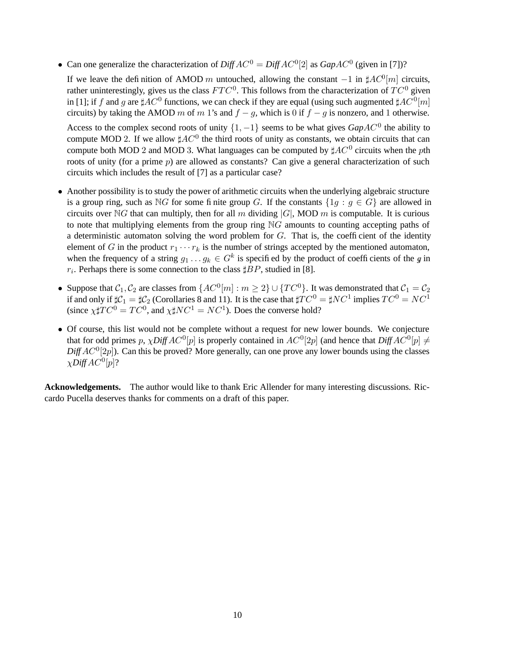• Can one generalize the characterization of  $DiffAC^0 = DiffAC^0[2]$  as  $GapAC^0$  (given in [7])?

If we leave the definition of AMOD m untouched, allowing the constant  $-1$  in  $\sharp AC^0[m]$  circuits, rather uninterestingly, gives us the class  $FTC^0$ . This follows from the characterization of  $TC^0$  given in [1]; if f and g are  $\sharp AC^0$  functions, we can check if they are equal (using such augmented  $\sharp AC^0[m]$ circuits) by taking the AMOD m of m 1's and  $f - g$ , which is 0 if  $f - g$  is nonzero, and 1 otherwise.

Access to the complex second roots of unity  $\{1, -1\}$  seems to be what gives  $GapAC^0$  the ability to compute MOD 2. If we allow  $\sharp AC^0$  the third roots of unity as constants, we obtain circuits that can compute both MOD 2 and MOD 3. What languages can be computed by  $\sharp AC^0$  circuits when the pth roots of unity (for a prime p) are allowed as constants? Can give a general characterization of such circuits which includes the result of [7] as a particular case?

- Another possibility is to study the power of arithmetic circuits when the underlying algebraic structure is a group ring, such as NG for some finite group G. If the constants  $\{1q : q \in G\}$  are allowed in circuits over NG that can multiply, then for all m dividing  $|G|$ , MOD m is computable. It is curious to note that multiplying elements from the group ring  $\mathbb{N}G$  amounts to counting accepting paths of a deterministic automaton solving the word problem for  $G$ . That is, the coefficient of the identity element of G in the product  $r_1 \cdots r_k$  is the number of strings accepted by the mentioned automaton, when the frequency of a string  $g_1 \dots g_k \in G^k$  is specified by the product of coefficients of the g in  $r_i$ . Perhaps there is some connection to the class  $\sharp BP$ , studied in [8].
- Suppose that  $C_1, C_2$  are classes from  $\{AC^0[m]: m \geq 2\} \cup \{TC^0\}$ . It was demonstrated that  $C_1 = C_2$ if and only if  $\sharp\mathcal{C}_1=\sharp\mathcal{C}_2$  (Corollaries 8 and 11). It is the case that  $\sharp TC^0=\sharp NC^1$  implies  $TC^0=NC^1$ (since  $\chi \sharp TC^0 = TC^0$ , and  $\chi \sharp NC^1 = NC^1$ ). Does the converse hold?
- Of course, this list would not be complete without a request for new lower bounds. We conjecture that for odd primes p,  $\chi$ Diff  $AC^0[p]$  is properly contained in  $AC^0[2p]$  (and hence that  $DiffAC^0[p] \neq$  $DiffAC<sup>0</sup>[2p]$ ). Can this be proved? More generally, can one prove any lower bounds using the classes  $\chi$ Diff  $AC^0[p]$ ?

**Acknowledgements.** The author would like to thank Eric Allender for many interesting discussions. Riccardo Pucella deserves thanks for comments on a draft of this paper.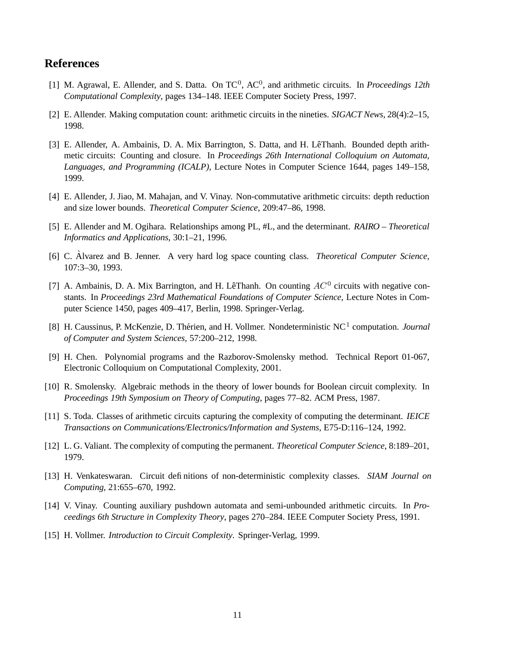# **References**

- [1] M. Agrawal, E. Allender, and S. Datta. On TC<sup>0</sup>, AC<sup>0</sup>, and arithmetic circuits. In *Proceedings 12th Computational Complexity*, pages 134–148. IEEE Computer Society Press, 1997.
- [2] E. Allender. Making computation count: arithmetic circuits in the nineties. *SIGACT News*, 28(4):2–15, 1998.
- [3] E. Allender, A. Ambainis, D. A. Mix Barrington, S. Datta, and H. LêThanh. Bounded depth arithmetic circuits: Counting and closure. In *Proceedings 26th International Colloquium on Automata, Languages, and Programming (ICALP)*, Lecture Notes in Computer Science 1644, pages 149–158, 1999.
- [4] E. Allender, J. Jiao, M. Mahajan, and V. Vinay. Non-commutative arithmetic circuits: depth reduction and size lower bounds. *Theoretical Computer Science*, 209:47–86, 1998.
- [5] E. Allender and M. Ogihara. Relationships among PL, #L, and the determinant. *RAIRO – Theoretical Informatics and Applications*, 30:1–21, 1996.
- [6] C. Alvarez and B. Jenner. A very hard log space counting class. *Theoretical Computer Science*, 107:3–30, 1993.
- [7] A. Ambainis, D. A. Mix Barrington, and H. LêThanh. On counting  $AC^0$  circuits with negative constants. In *Proceedings 23rd Mathematical Foundations of Computer Science*, Lecture Notes in Computer Science 1450, pages 409–417, Berlin, 1998. Springer-Verlag.
- [8] H. Caussinus, P. McKenzie, D. Thérien, and H. Vollmer. Nondeterministic NC<sup>1</sup> computation. *Journal of Computer and System Sciences*, 57:200–212, 1998.
- [9] H. Chen. Polynomial programs and the Razborov-Smolensky method. Technical Report 01-067, Electronic Colloquium on Computational Complexity, 2001.
- [10] R. Smolensky. Algebraic methods in the theory of lower bounds for Boolean circuit complexity. In *Proceedings 19th Symposium on Theory of Computing*, pages 77–82. ACM Press, 1987.
- [11] S. Toda. Classes of arithmetic circuits capturing the complexity of computing the determinant. *IEICE Transactions on Communications/Electronics/Information and Systems*, E75-D:116–124, 1992.
- [12] L. G. Valiant. The complexity of computing the permanent. *Theoretical Computer Science*, 8:189–201, 1979.
- [13] H. Venkateswaran. Circuit definitions of non-deterministic complexity classes. *SIAM Journal on Computing*, 21:655–670, 1992.
- [14] V. Vinay. Counting auxiliary pushdown automata and semi-unbounded arithmetic circuits. In *Proceedings 6th Structure in Complexity Theory*, pages 270–284. IEEE Computer Society Press, 1991.
- [15] H. Vollmer. *Introduction to Circuit Complexity*. Springer-Verlag, 1999.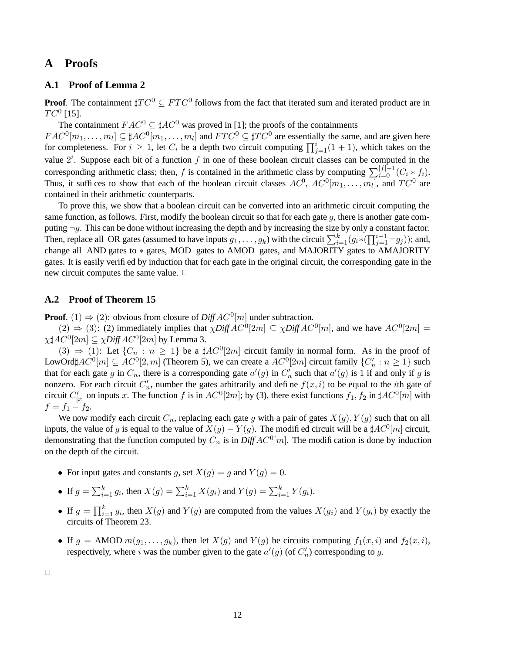## **A Proofs**

#### **A.1 Proof of Lemma 2**

**Proof**. The containment  $\sharp TC^0 \subseteq FTC^0$  follows from the fact that iterated sum and iterated product are in  $TC^0$  [15].

The containment  $FAC^0 \subseteq \sharp AC^0$  was proved in [1]; the proofs of the containments  $FAC^0[m_1,\ldots,m_l] \subseteq \sharp AC^0[m_1,\ldots,m_l]$  and  $FTC^0 \subseteq \sharp TC^0$  are essentially the same, and are given here for completeness. For  $i \ge 1$ , let  $C_i$  be a depth two circuit computing  $\prod_{j=1}^{i} (1 + 1)$ , which takes on the value  $2^i$ . Suppose each bit of a function f in one of these boolean circuit classes can be computed in the corresponding arithmetic class; then, f is contained in the arithmetic class by computing  $\sum_{i=0}^{|f|-1} (C_i * f_i)$ . Thus, it suffices to show that each of the boolean circuit classes  $AC^0$ ,  $AC^0[m_1, \ldots, m_l]$ , and  $TC^0$  are contained in their arithmetic counterparts.

To prove this, we show that a boolean circuit can be converted into an arithmetic circuit computing the same function, as follows. First, modify the boolean circuit so that for each gate  $g$ , there is another gate computing  $\neg g$ . This can be done without increasing the depth and by increasing the size by only a constant factor. Then, replace all OR gates (assumed to have inputs  $g_1, \ldots, g_k$ ) with the circuit  $\sum_{i=1}^k (g_i \cdot (\prod_{j=1}^{i-1} \neg g_j))$ ; and, change all AND gates to ∗ gates, MOD gates to AMOD gates, and MAJORITY gates to AMAJORITY gates. It is easily verified by induction that for each gate in the original circuit, the corresponding gate in the new circuit computes the same value.  $\Box$ 

#### **A.2 Proof of Theorem 15**

**Proof.** (1)  $\Rightarrow$  (2): obvious from closure of *Diff*  $AC^0[m]$  under subtraction.

 $(2) \Rightarrow (3)$ : (2) immediately implies that  $\chi \text{Diff} \text{AC}^0[2m] \subseteq \chi \text{Diff} \text{AC}^0[m]$ , and we have  $\text{AC}^0[2m] =$  $\chi\sharp AC^0[2m]\subseteq \chi D\textit{iff} \, AC^0[2m]$  by Lemma 3.

(3)  $\Rightarrow$  (1): Let  $\{C_n : n \geq 1\}$  be a  $\sharp AC^0[2m]$  circuit family in normal form. As in the proof of LowOrd $\sharp AC^0[m] \subseteq AC^0[2,m]$  (Theorem 5), we can create a  $AC^0[2m]$  circuit family  $\{C'_n : n \ge 1\}$  such that for each gate g in  $C_n$ , there is a corresponding gate  $a'(g)$  in  $C'_n$  such that  $a'(g)$  is 1 if and only if g is nonzero. For each circuit  $C'_n$ , number the gates arbitrarily and define  $f(x, i)$  to be equal to the *i*th gate of circuit  $C'_{|x|}$  on inputs x. The function  $f$  is in  $AC^0[2m]$ ; by (3), there exist functions  $f_1, f_2$  in  $\sharp AC^0[m]$  with  $f = f_1 - f_2.$ 

We now modify each circuit  $C_n$ , replacing each gate g with a pair of gates  $X(g)$ ,  $Y(g)$  such that on all inputs, the value of g is equal to the value of  $X(g) - Y(g)$ . The modified circuit will be a  $\sharp AC^0[m]$  circuit, demonstrating that the function computed by  $C_n$  is in  $DiffAC^0[m]$ . The modification is done by induction on the depth of the circuit.

- For input gates and constants g, set  $X(g) = g$  and  $Y(g) = 0$ .
- If  $g = \sum_{i=1}^{k} g_i$ , then  $X(g) = \sum_{i=1}^{k} X(g_i)$  and  $Y(g) = \sum_{i=1}^{k} Y(g_i)$ .
- If  $g = \prod_{i=1}^k g_i$ , then  $X(g)$  and  $Y(g)$  are computed from the values  $X(g_i)$  and  $Y(g_i)$  by exactly the circuits of Theorem 23.
- If  $g = \text{AMOD } m(g_1, \ldots, g_k)$ , then let  $X(g)$  and  $Y(g)$  be circuits computing  $f_1(x, i)$  and  $f_2(x, i)$ , respectively, where i was the number given to the gate  $a'(g)$  (of  $C'_n$ ) corresponding to g.

 $\Box$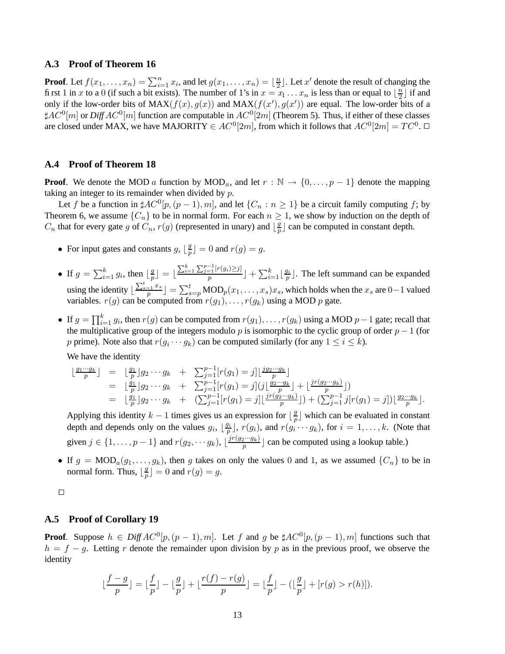#### **A.3 Proof of Theorem 16**

**Proof**. Let  $f(x_1, \ldots, x_n) = \sum_{i=1}^n x_i$ , and let  $g(x_1, \ldots, x_n) = \lfloor \frac{n}{2} \rfloor$  $\frac{n}{2}$ . Let x' denote the result of changing the first 1 in x to a 0 (if such a bit exists). The number of 1's in  $x = x_1 \dots x_n$  is less than or equal to  $\lfloor \frac{n}{2} \rfloor$  $\frac{n}{2}$  if and only if the low-order bits of  $MAX(f(x), g(x))$  and  $MAX(f(x'), g(x'))$  are equal. The low-order bits of a  $\sharp AC^0[m]$  or  $DiffAC^0[m]$  function are computable in  $AC^0[2m]$  (Theorem 5). Thus, if either of these classes are closed under MAX, we have MAJORITY  $\in AC^0[2m]$ , from which it follows that  $AC^0[2m] = TC^0$ .  $\Box$ 

#### **A.4 Proof of Theorem 18**

**Proof.** We denote the MOD a function by  $\text{MOD}_a$ , and let  $r : \mathbb{N} \to \{0, \ldots, p-1\}$  denote the mapping taking an integer to its remainder when divided by  $p$ .

Let f be a function in  $\sharp AC^0[p,(p-1),m]$ , and let  $\{C_n : n \geq 1\}$  be a circuit family computing f; by Theorem 6, we assume  $\{C_n\}$  to be in normal form. For each  $n \geq 1$ , we show by induction on the depth of  $C_n$  that for every gate g of  $C_n$ ,  $r(g)$  (represented in unary) and  $\lfloor \frac{g}{n} \rfloor$  $\frac{g}{p}$  can be computed in constant depth.

- For input gates and constants  $g, \lfloor \frac{g}{p} \rfloor$  $\frac{g}{p}$   $\rfloor$  = 0 and  $r(g) = g$ .
- If  $g = \sum_{i=1}^{k} g_i$ , then  $\lfloor \frac{g}{p} \rfloor$  $\left[\frac{g}{p}\right] = \left[\frac{\sum_{i=1}^{k} \sum_{j=1}^{p-1} [r(g_i) \geq j]}{p}\right] + \sum_{i=1}^{k}$  $\frac{p^{\lfloor n(g_i)\geq j\rfloor}}{p}$  +  $\sum_{i=1}^k\lfloor\frac{g_i}{p}\rfloor$  $\frac{g_i}{p}$ ]. The left summand can be expanded using the identity  $\lfloor \frac{\sum_{s=1}^{t} x_s}{p} \rfloor = \sum_{s=p}^{t} \text{MOD}_p(x_1, \dots, x_s)x_s$ , which holds when the  $x_s$  are  $0-1$  valued variables.  $r(g)$  can be computed from  $r(g_1), \ldots, r(g_k)$  using a MOD p gate.
- If  $g = \prod_{i=1}^k g_i$ , then  $r(g)$  can be computed from  $r(g_1), \ldots, r(g_k)$  using a MOD  $p-1$  gate; recall that the multiplicative group of the integers modulo p is isomorphic to the cyclic group of order  $p - 1$  (for p prime). Note also that  $r(g_i \cdots g_k)$  can be computed similarly (for any  $1 \le i \le k$ ).

We have the identity

$$
\begin{array}{rcl}\n\lfloor \frac{g_1 \cdots g_k}{p} \rfloor & = & \lfloor \frac{g_1}{p} \rfloor g_2 \cdots g_k + \sum_{j=1}^{p-1} [r(g_1) = j] \lfloor \frac{jg_2 \cdots g_k}{p} \rfloor \\
& = & \lfloor \frac{g_1}{p} \rfloor g_2 \cdots g_k + \sum_{j=1}^{p-1} [r(g_1) = j] \left( j \lfloor \frac{g_2 \cdots g_k}{p} \rfloor + \lfloor \frac{jr(g_2 \cdots g_k)}{p} \rfloor \right) \\
& = & \lfloor \frac{g_1}{p} \rfloor g_2 \cdots g_k + \left( \sum_{j=1}^{p-1} [r(g_1) = j] \lfloor \frac{jr(g_2 \cdots g_k)}{p} \rfloor \right) + \left( \sum_{j=1}^{p-1} j[r(g_1) = j] \right) \lfloor \frac{g_2 \cdots g_k}{p} \rfloor.\n\end{array}
$$

Applying this identity  $k - 1$  times gives us an expression for  $\lfloor \frac{g}{n} \rfloor$  $\frac{g}{p}$  which can be evaluated in constant depth and depends only on the values  $g_i$ ,  $\lfloor \frac{g_i}{p} \rfloor$  $p_{p}^{q_{i}}$ ,  $r(g_{i})$ , and  $r(g_{i} \cdots g_{k})$ , for  $i = 1, \ldots, k$ . (Note that given  $j \in \{1, \ldots, p-1\}$  and  $r(g_2, \cdots g_k)$ ,  $\lfloor \frac{jr(g_2 \cdots g_k)}{p} \rfloor$  $\frac{p^{2} \cdots p_{k}}{p}$  can be computed using a lookup table.)

• If  $g = MOD_a(g_1, \ldots, g_k)$ , then g takes on only the values 0 and 1, as we assumed  $\{C_n\}$  to be in normal form. Thus,  $\lfloor \frac{g}{n} \rfloor$  $\frac{g}{p}$   $\rfloor$  = 0 and  $r(g)$  = g.

 $\Box$ 

#### **A.5 Proof of Corollary 19**

**Proof.** Suppose  $h \in DiffAC^0[p, (p-1), m]$ . Let f and g be  $\sharp AC^0[p, (p-1), m]$  functions such that  $h = f - g$ . Letting r denote the remainder upon division by p as in the previous proof, we observe the identity

$$
\lfloor \frac{f-g}{p} \rfloor = \lfloor \frac{f}{p} \rfloor - \lfloor \frac{g}{p} \rfloor + \lfloor \frac{r(f) - r(g)}{p} \rfloor = \lfloor \frac{f}{p} \rfloor - (\lfloor \frac{g}{p} \rfloor + [r(g) > r(h)]).
$$